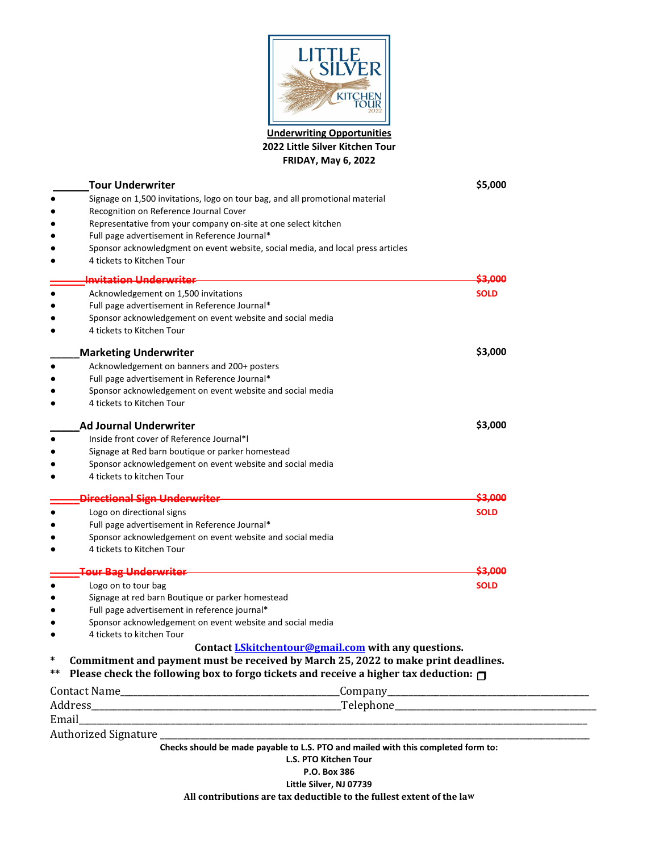

**Underwriting Opportunities 2022 Little Silver Kitchen Tour FRIDAY, May 6, 2022**

| <b>Tour Underwriter</b>                                                                          | \$5,000                                                                            |
|--------------------------------------------------------------------------------------------------|------------------------------------------------------------------------------------|
| Signage on 1,500 invitations, logo on tour bag, and all promotional material                     |                                                                                    |
| Recognition on Reference Journal Cover                                                           |                                                                                    |
| Representative from your company on-site at one select kitchen                                   |                                                                                    |
| Full page advertisement in Reference Journal*                                                    |                                                                                    |
| Sponsor acknowledgment on event website, social media, and local press articles                  |                                                                                    |
| 4 tickets to Kitchen Tour                                                                        |                                                                                    |
| <del>Invitation Underwriter</del>                                                                | \$3.000                                                                            |
| Acknowledgement on 1,500 invitations                                                             | <b>SOLD</b>                                                                        |
| Full page advertisement in Reference Journal*                                                    |                                                                                    |
| Sponsor acknowledgement on event website and social media                                        |                                                                                    |
| 4 tickets to Kitchen Tour                                                                        |                                                                                    |
| <b>Marketing Underwriter</b>                                                                     | \$3,000                                                                            |
| Acknowledgement on banners and 200+ posters                                                      |                                                                                    |
| Full page advertisement in Reference Journal*                                                    |                                                                                    |
| Sponsor acknowledgement on event website and social media                                        |                                                                                    |
| 4 tickets to Kitchen Tour                                                                        |                                                                                    |
| <b>Ad Journal Underwriter</b>                                                                    | \$3,000                                                                            |
| Inside front cover of Reference Journal*I                                                        |                                                                                    |
| Signage at Red barn boutique or parker homestead                                                 |                                                                                    |
| Sponsor acknowledgement on event website and social media                                        |                                                                                    |
| 4 tickets to kitchen Tour                                                                        |                                                                                    |
| <b>Directional Sign Underwriter</b>                                                              | \$3.000                                                                            |
| Logo on directional signs                                                                        | <b>SOLD</b>                                                                        |
| Full page advertisement in Reference Journal*                                                    |                                                                                    |
| Sponsor acknowledgement on event website and social media                                        |                                                                                    |
| 4 tickets to Kitchen Tour                                                                        |                                                                                    |
| <b>Tour Bag Underwriter</b>                                                                      | <del>53.000</del>                                                                  |
| Logo on to tour bag                                                                              | <b>SOLD</b>                                                                        |
| Signage at red barn Boutique or parker homestead                                                 |                                                                                    |
| Full page advertisement in reference journal*                                                    |                                                                                    |
| Sponsor acknowledgement on event website and social media                                        |                                                                                    |
| 4 tickets to kitchen Tour                                                                        |                                                                                    |
|                                                                                                  | Contact <i>LSkitchentour@gmail.com</i> with any questions.                         |
| ∗                                                                                                | Commitment and payment must be received by March 25, 2022 to make print deadlines. |
| Please check the following box to forgo tickets and receive a higher tax deduction: $\Box$<br>** |                                                                                    |
|                                                                                                  |                                                                                    |
|                                                                                                  |                                                                                    |
|                                                                                                  |                                                                                    |
|                                                                                                  |                                                                                    |
|                                                                                                  | Checks should be made payable to L.S. PTO and mailed with this completed form to:  |
|                                                                                                  | L.S. PTO Kitchen Tour<br>P.O. Box 386                                              |
|                                                                                                  | $ \t \t \t$                                                                        |

**Little Silver, NJ 07739 All contributions are tax deductible to the fullest extent of the law**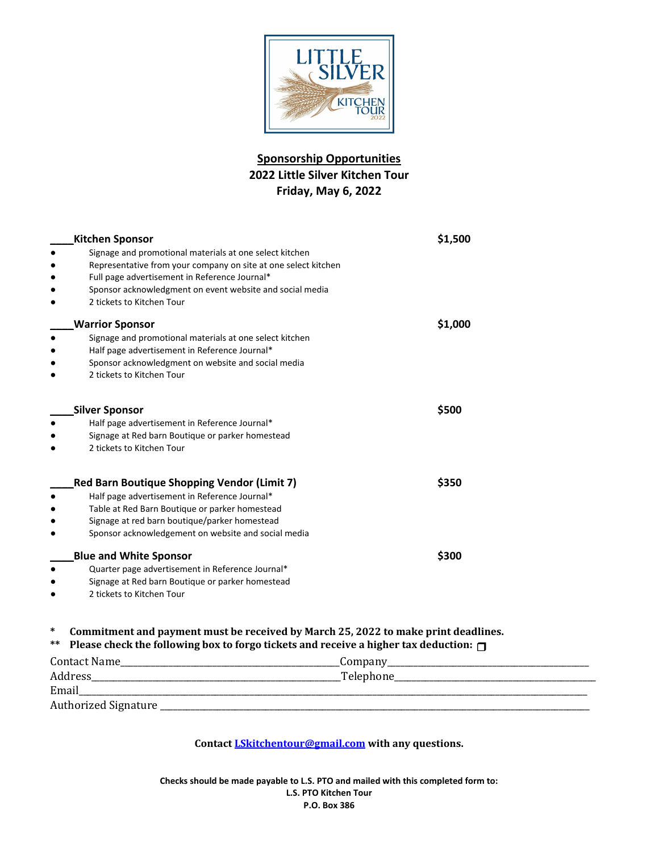

## **Sponsorship Opportunities 2022 Little Silver Kitchen Tour Friday, May 6, 2022**

| <b>Kitchen Sponsor</b>                                                                             | \$1,500 |
|----------------------------------------------------------------------------------------------------|---------|
| Signage and promotional materials at one select kitchen                                            |         |
| Representative from your company on site at one select kitchen                                     |         |
| Full page advertisement in Reference Journal*                                                      |         |
| Sponsor acknowledgment on event website and social media                                           |         |
| 2 tickets to Kitchen Tour                                                                          |         |
| <b>Warrior Sponsor</b>                                                                             | \$1,000 |
| Signage and promotional materials at one select kitchen                                            |         |
| Half page advertisement in Reference Journal*                                                      |         |
| Sponsor acknowledgment on website and social media                                                 |         |
| 2 tickets to Kitchen Tour                                                                          |         |
| <b>Silver Sponsor</b>                                                                              | \$500   |
|                                                                                                    |         |
| Half page advertisement in Reference Journal*                                                      |         |
| Signage at Red barn Boutique or parker homestead<br>2 tickets to Kitchen Tour                      |         |
|                                                                                                    |         |
| <b>Red Barn Boutique Shopping Vendor (Limit 7)</b>                                                 | \$350   |
| Half page advertisement in Reference Journal*                                                      |         |
| Table at Red Barn Boutique or parker homestead                                                     |         |
| Signage at red barn boutique/parker homestead                                                      |         |
| Sponsor acknowledgement on website and social media                                                |         |
| <b>Blue and White Sponsor</b>                                                                      | \$300   |
| Quarter page advertisement in Reference Journal*                                                   |         |
| Signage at Red barn Boutique or parker homestead                                                   |         |
| 2 tickets to Kitchen Tour                                                                          |         |
| ∗<br>Commitment and payment must be received by March 25, 2022 to make print deadlines.            |         |
| **<br>Please check the following box to forgo tickets and receive a higher tax deduction: $\sqcap$ |         |
|                                                                                                    |         |
|                                                                                                    |         |
| Email                                                                                              |         |
| Authorized Signature                                                                               |         |

**Contact LSkitchentour@gmail.com with any questions.**

**Checks should be made payable to L.S. PTO and mailed with this completed form to: L.S. PTO Kitchen Tour P.O. Box 386**